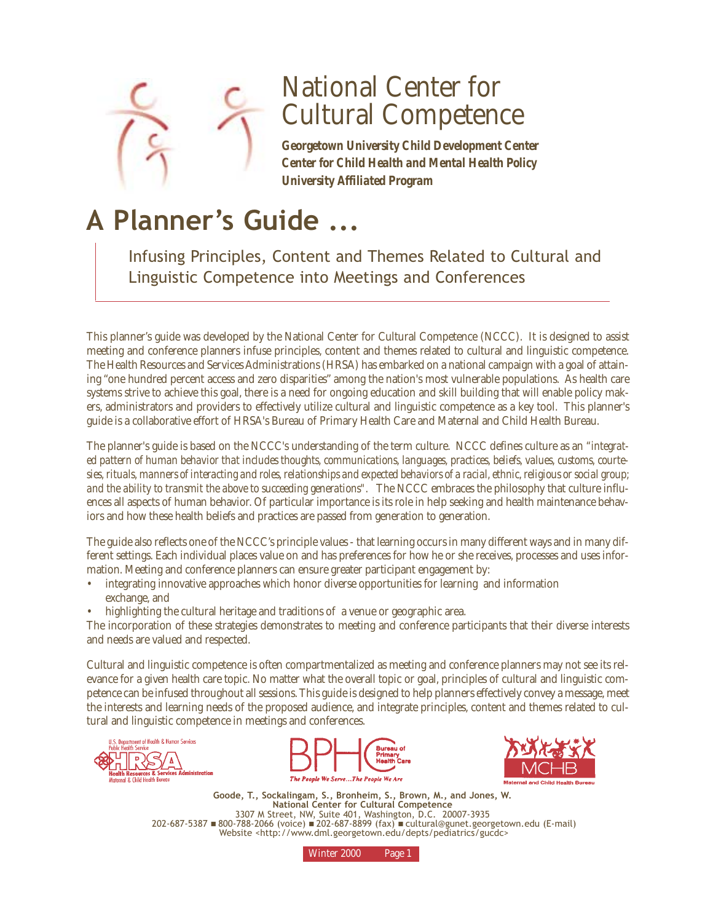

# National Center for Cultural Competence

*Georgetown University Child Development Center Center for Child Health and Mental Health Policy University Affiliated Program*

# **A Planner's Guide ...**

Infusing Principles, Content and Themes Related to Cultural and Linguistic Competence into Meetings and Conferences

This planner's guide was developed by the National Center for Cultural Competence (NCCC). It is designed to assist meeting and conference planners infuse principles, content and themes related to cultural and linguistic competence. The Health Resources and Services Administrations (HRSA) has embarked on a national campaign with a goal of attaining "one hundred percent access and zero disparities" among the nation's most vulnerable populations. As health care systems strive to achieve this goal, there is a need for ongoing education and skill building that will enable policy makers, administrators and providers to effectively utilize cultural and linguistic competence as a key tool. This planner's guide is a collaborative effort of HRSA's Bureau of Primary Health Care and Maternal and Child Health Bureau.

The planner's guide is based on the NCCC's understanding of the term culture. NCCC defines culture as an *"integrated pattern of human behavior that includes thoughts, communications, languages, practices, beliefs, values, customs, courtesies, rituals, manners of interacting and roles, relationships and expected behaviors of a racial, ethnic, religious or social group; and the ability to transmit the above to succeeding generations"*. The NCCC embraces the philosophy that culture influences all aspects of human behavior. Of particular importance is its role in help seeking and health maintenance behaviors and how these health beliefs and practices are passed from generation to generation.

The guide also reflects one of the NCCC's principle values - that learning occurs in many different ways and in many different settings. Each individual places value on and has preferences for how he or she receives, processes and uses information. Meeting and conference planners can ensure greater participant engagement by:

- integrating innovative approaches which honor diverse opportunities for learning and information exchange, and
- highlighting the cultural heritage and traditions of a venue or geographic area.

The incorporation of these strategies demonstrates to meeting and conference participants that their diverse interests and needs are valued and respected.

Cultural and linguistic competence is often compartmentalized as meeting and conference planners may not see its relevance for a given health care topic. No matter what the overall topic or goal, principles of cultural and linguistic competence can be infused throughout all sessions. This guide is designed to help planners effectively convey a message, meet the interests and learning needs of the proposed audience, and integrate principles, content and themes related to cultural and linguistic competence in meetings and conferences.







**Goode, T., Sockalingam, S., Bronheim, S., Brown, M., and Jones, W. National Center for Cultural Competence**  3307 M Street, NW, Suite 401, Washington, D.C. 20007-3935 202-687-5387 ■ 800-788-2066 (voice) ■ 202-687-8899 (fax) ■ cultural@gunet.georgetown.edu (E-mail) Website <http://www.dml.georgetown.edu/depts/pediatrics/gucdc>

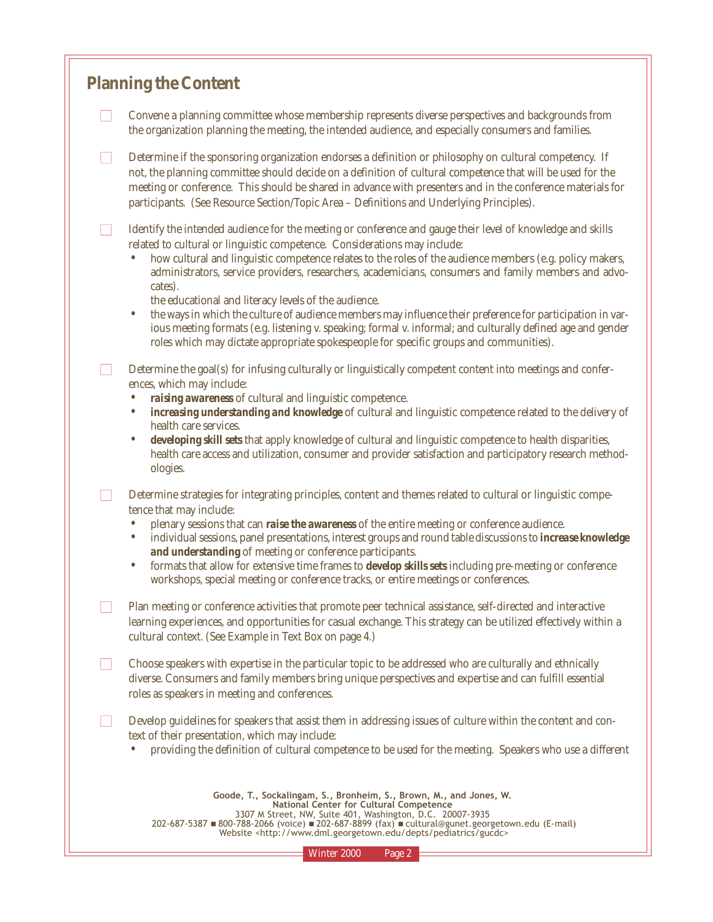## **Planning the Content**

□ Convene a planning committee whose membership represents diverse perspectives and backgrounds from the organization planning the meeting, the intended audience, and especially consumers and families.

 $\Box$  Determine if the sponsoring organization endorses a definition or philosophy on cultural competency. If not, the planning committee should decide on a definition of cultural competence that will be used for the meeting or conference. This should be shared in advance with presenters and in the conference materials for participants. (See Resource Section/Topic Area – Definitions and Underlying Principles).

■ Identify the intended audience for the meeting or conference and gauge their level of knowledge and skills related to cultural or linguistic competence. Considerations may include:

• how cultural and linguistic competence relates to the roles of the audience members (e.g. policy makers, administrators, service providers, researchers, academicians, consumers and family members and advocates).

the educational and literacy levels of the audience.

• the ways in which the culture of audience members may influence their preference for participation in various meeting formats (e.g. listening v. speaking; formal v. informal; and culturally defined age and gender roles which may dictate appropriate spokespeople for specific groups and communities).

 $\Box$  Determine the goal(s) for infusing culturally or linguistically competent content into meetings and conferences, which may include:

- *raising awareness* of cultural and linguistic competence.
- *increasing understanding and knowledge* of cultural and linguistic competence related to the delivery of health care services.

• *developing skill sets* that apply knowledge of cultural and linguistic competence to health disparities, health care access and utilization, consumer and provider satisfaction and participatory research methodologies.

 $\Box$  Determine strategies for integrating principles, content and themes related to cultural or linguistic competence that may include:

- plenary sessions that can *raise the awareness* of the entire meeting or conference audience.
- individual sessions, panel presentations, interest groups and round table discussions to *increase knowledge and understanding* of meeting or conference participants.
- formats that allow for extensive time frames to *develop skills sets* including pre-meeting or conference workshops, special meeting or conference tracks, or entire meetings or conferences.
- Plan meeting or conference activities that promote peer technical assistance, self-directed and interactive learning experiences, and opportunities for casual exchange. This strategy can be utilized effectively within a cultural context. (See Example in Text Box on page 4.)

 $\Box$  Choose speakers with expertise in the particular topic to be addressed who are culturally and ethnically diverse. Consumers and family members bring unique perspectives and expertise and can fulfill essential roles as speakers in meeting and conferences.

■ Develop guidelines for speakers that assist them in addressing issues of culture within the content and context of their presentation, which may include:

• providing the definition of cultural competence to be used for the meeting. Speakers who use a different

| Goode, T., Sockalingam, S., Bronheim, S., Brown, M., and Jones, W.                                |
|---------------------------------------------------------------------------------------------------|
| National Center for Cultural Competence                                                           |
| 3307 M Street, NW, Suite 401, Washington, D.C. 20007-3935                                         |
| 202-687-5387 ■ 800-788-2066 (voice) ■ 202-687-8899 (fax) ■ cultural@gunet.georgetown.edu (E-mail) |
| Website <http: depts="" gucdc="" pediatrics="" www.dml.georgetown.edu=""></http:>                 |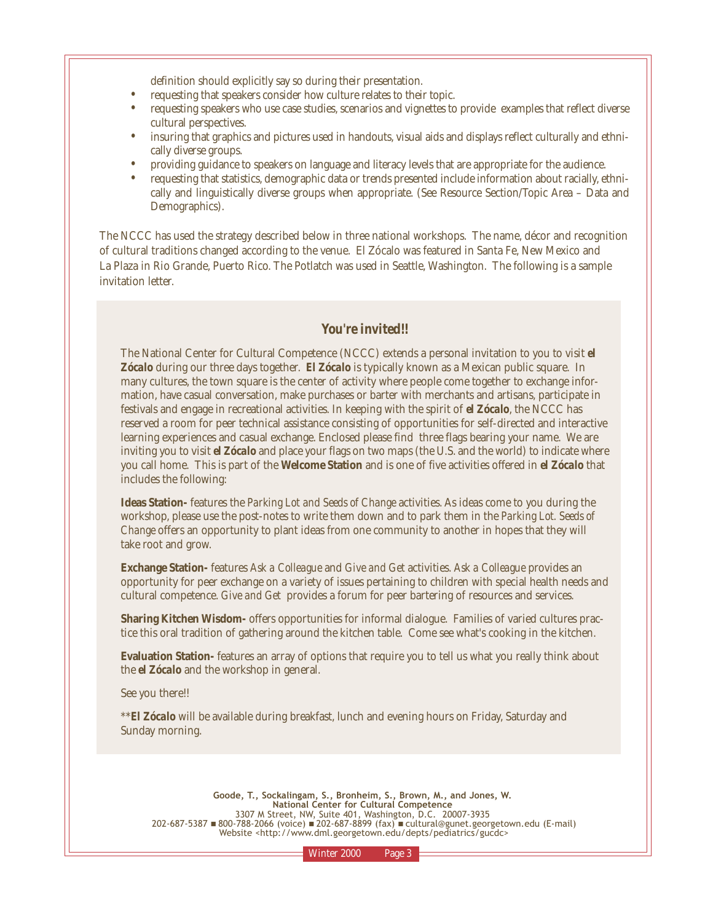definition should explicitly say so during their presentation.

- requesting that speakers consider how culture relates to their topic.
- requesting speakers who use case studies, scenarios and vignettes to provide examples that reflect diverse cultural perspectives.
- insuring that graphics and pictures used in handouts, visual aids and displays reflect culturally and ethnically diverse groups.
- providing guidance to speakers on language and literacy levels that are appropriate for the audience.
- requesting that statistics, demographic data or trends presented include information about racially, ethnically and linguistically diverse groups when appropriate. (See Resource Section/Topic Area – Data and Demographics).

The NCCC has used the strategy described below in three national workshops. The name, décor and recognition of cultural traditions changed according to the venue. El Zócalo was featured in Santa Fe, New Mexico and La Plaza in Rio Grande, Puerto Rico. The Potlatch was used in Seattle, Washington. The following is a sample invitation letter.

## *You're invited!!*

The National Center for Cultural Competence (NCCC) extends a personal invitation to you to visit *el Zócalo* during our three days together. *El Zócalo* is typically known as a Mexican public square. In many cultures, the town square is the center of activity where people come together to exchange information, have casual conversation, make purchases or barter with merchants and artisans, participate in festivals and engage in recreational activities. In keeping with the spirit of *el Zócalo*, the NCCC has reserved a room for peer technical assistance consisting of opportunities for self-directed and interactive learning experiences and casual exchange. Enclosed please find three flags bearing your name. We are inviting you to visit *el Zócalo* and place your flags on two maps (the U.S. and the world) to indicate where you call home. This is part of the **Welcome Station** and is one of five activities offered in *el Zócalo* that includes the following:

**Ideas Station-** features the *Parking Lot and Seeds of Change* activities. As ideas come to you during the workshop, please use the post-notes to write them down and to park them in the *Parking Lot. Seeds of Change* offers an opportunity to plant ideas from one community to another in hopes that they will take root and grow.

**Exchange Station-** features *Ask a Colleague* and *Give and Get* activities. *Ask a Colleague* provides an opportunity for peer exchange on a variety of issues pertaining to children with special health needs and cultural competence. *Give and Get* provides a forum for peer bartering of resources and services.

**Sharing Kitchen Wisdom-** offers opportunities for informal dialogue. Families of varied cultures practice this oral tradition of gathering around the kitchen table. Come see what's cooking in the kitchen.

**Evaluation Station-** features an array of options that require you to tell us what you really think about the *el Zócalo* and the workshop in general.

See you there!!

\*\**El Zócalo* will be available during breakfast, lunch and evening hours on Friday, Saturday and Sunday morning.

**Goode, T., Sockalingam, S., Bronheim, S., Brown, M., and Jones, W. National Center for Cultural Competence**  3307 M Street, NW, Suite 401, Washington, D.C. 20007-3935 202-687-5387 ■ 800-788-2066 (voice) ■ 202-687-8899 (fax) ■ cultural@gunet.georgetown.edu (E-mail) Website <http://www.dml.georgetown.edu/depts/pediatrics/gucdc>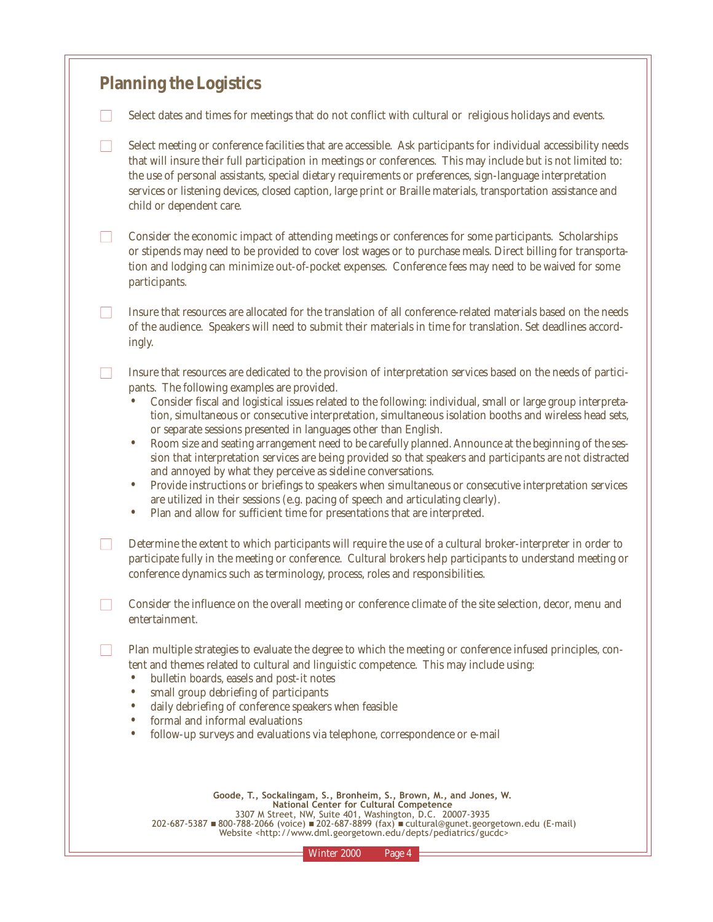## **Planning the Logistics**

- $\Box$  Select dates and times for meetings that do not conflict with cultural or religious holidays and events.
- $\Box$  Select meeting or conference facilities that are accessible. Ask participants for individual accessibility needs that will insure their full participation in meetings or conferences. This may include but is not limited to: the use of personal assistants, special dietary requirements or preferences, sign-language interpretation services or listening devices, closed caption, large print or Braille materials, transportation assistance and child or dependent care.
- $\Box$  Consider the economic impact of attending meetings or conferences for some participants. Scholarships or stipends may need to be provided to cover lost wages or to purchase meals. Direct billing for transportation and lodging can minimize out-of-pocket expenses. Conference fees may need to be waived for some participants.
- Insure that resources are allocated for the translation of all conference-related materials based on the needs of the audience. Speakers will need to submit their materials in time for translation. Set deadlines accordingly.
- Insure that resources are dedicated to the provision of interpretation services based on the needs of participants. The following examples are provided.
	- Consider fiscal and logistical issues related to the following: individual, small or large group interpretation, simultaneous or consecutive interpretation, simultaneous isolation booths and wireless head sets, or separate sessions presented in languages other than English.
	- Room size and seating arrangement need to be carefully planned. Announce at the beginning of the session that interpretation services are being provided so that speakers and participants are not distracted and annoyed by what they perceive as sideline conversations.
	- Provide instructions or briefings to speakers when simultaneous or consecutive interpretation services are utilized in their sessions (e.g. pacing of speech and articulating clearly).
	- Plan and allow for sufficient time for presentations that are interpreted.
- $\Box$  Determine the extent to which participants will require the use of a cultural broker-interpreter in order to participate fully in the meeting or conference. Cultural brokers help participants to understand meeting or conference dynamics such as terminology, process, roles and responsibilities.
- □ Consider the influence on the overall meeting or conference climate of the site selection, decor, menu and entertainment.
- □ Plan multiple strategies to evaluate the degree to which the meeting or conference infused principles, content and themes related to cultural and linguistic competence. This may include using:
	- bulletin boards, easels and post-it notes
	- small group debriefing of participants<br>• daily debriefing of conference speakers
	- daily debriefing of conference speakers when feasible
	- formal and informal evaluations
	- follow-up surveys and evaluations via telephone, correspondence or e-mail

| Goode, T., Sockalingam, S., Bronheim, S., Brown, M., and Jones, W.                                |
|---------------------------------------------------------------------------------------------------|
| National Center for Cultural Competence                                                           |
| 3307 M Street, NW, Suite 401, Washington, D.C. 20007-3935                                         |
| 202-687-5387 ■ 800-788-2066 (voice) ■ 202-687-8899 (fax) ■ cultural@gunet.georgetown.edu (E-mail) |
| Website <http: depts="" gucdc="" pediatrics="" www.dml.georgetown.edu=""></http:>                 |
|                                                                                                   |

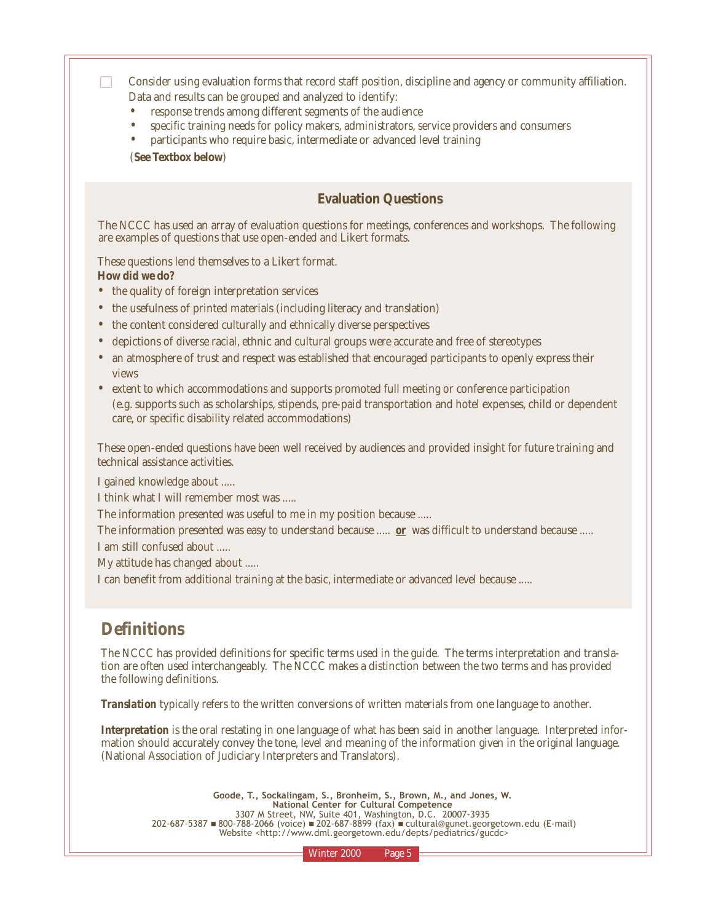$\Box$  Consider using evaluation forms that record staff position, discipline and agency or community affiliation. Data and results can be grouped and analyzed to identify:

- response trends among different segments of the audience
- specific training needs for policy makers, administrators, service providers and consumers
- participants who require basic, intermediate or advanced level training

(**See Textbox below**)

## **Evaluation Questions**

The NCCC has used an array of evaluation questions for meetings, conferences and workshops. The following are examples of questions that use open-ended and Likert formats.

These questions lend themselves to a Likert format. **How did we do?**

- the quality of foreign interpretation services
- the usefulness of printed materials (including literacy and translation)
- the content considered culturally and ethnically diverse perspectives
- depictions of diverse racial, ethnic and cultural groups were accurate and free of stereotypes
- an atmosphere of trust and respect was established that encouraged participants to openly express their views
- extent to which accommodations and supports promoted full meeting or conference participation (e.g. supports such as scholarships, stipends, pre-paid transportation and hotel expenses, child or dependent care, or specific disability related accommodations)

These open-ended questions have been well received by audiences and provided insight for future training and technical assistance activities.

I gained knowledge about .....

I think what I will remember most was .....

The information presented was useful to me in my position because .....

The information presented was easy to understand because ..... *or* was difficult to understand because .....

I am still confused about .....

My attitude has changed about .....

I can benefit from additional training at the basic, intermediate or advanced level because .....

## **Definitions**

The NCCC has provided definitions for specific terms used in the guide. The terms interpretation and translation are often used interchangeably. The NCCC makes a distinction between the two terms and has provided the following definitions.

*Translation* typically refers to the written conversions of written materials from one language to another.

*Interpretation* is the oral restating in one language of what has been said in another language. Interpreted information should accurately convey the tone, level and meaning of the information given in the original language. (National Association of Judiciary Interpreters and Translators).

**Goode, T., Sockalingam, S., Bronheim, S., Brown, M., and Jones, W. National Center for Cultural Competence**  3307 M Street, NW, Suite 401, Washington, D.C. 20007-3935 202-687-5387 ■ 800-788-2066 (voice) ■ 202-687-8899 (fax) ■ cultural@gunet.georgetown.edu (E-mail) Website <http://www.dml.georgetown.edu/depts/pediatrics/gucdc>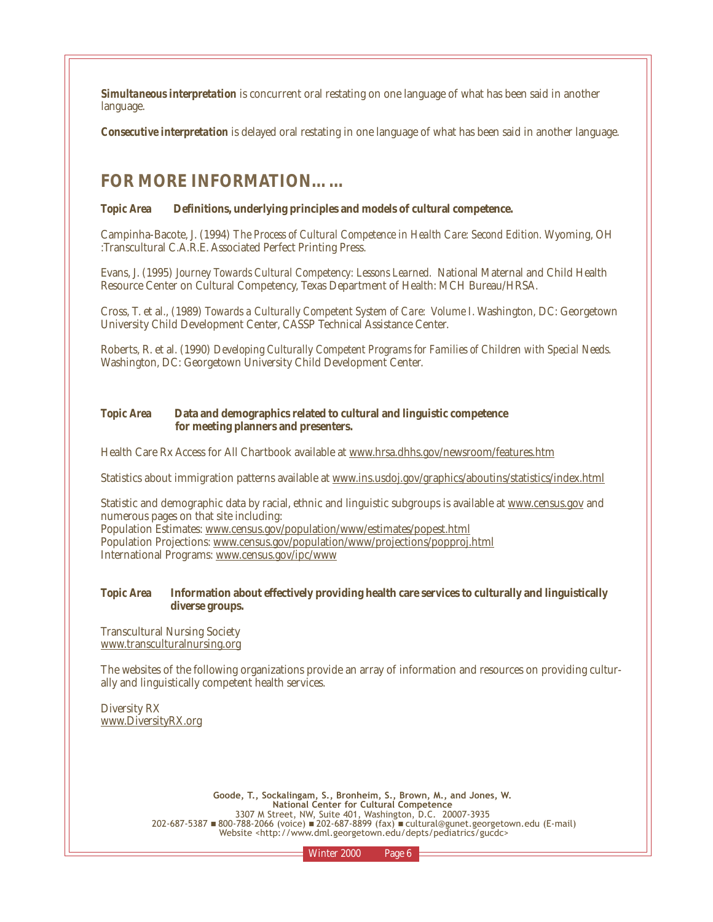*Simultaneous interpretation* is concurrent oral restating on one language of what has been said in another language.

*Consecutive interpretation* is delayed oral restating in one language of what has been said in another language.

## **FOR MORE INFORMATION……**

#### *Topic Area* **Definitions, underlying principles and models of cultural competence.**

Campinha-Bacote, J. (1994) *The Process of Cultural Competence in Health Care: Second Edition.* Wyoming, OH :Transcultural C.A.R.E. Associated Perfect Printing Press.

Evans, J. (1995) *Journey Towards Cultural Competency: Lessons Learned.* National Maternal and Child Health Resource Center on Cultural Competency, Texas Department of Health: MCH Bureau/HRSA.

Cross, T. et al., (1989) *Towards a Culturally Competent System of Care: Volume I*. Washington, DC: Georgetown University Child Development Center, CASSP Technical Assistance Center.

Roberts, R. et al. (1990) *Developing Culturally Competent Programs for Families of Children with Special Needs.* Washington, DC: Georgetown University Child Development Center.

#### *Topic Area* **Data and demographics related to cultural and linguistic competence for meeting planners and presenters.**

Health Care Rx Access for All Chartbook available at www.hrsa.dhhs.gov/newsroom/features.htm

Statistics about immigration patterns available at www.ins.usdoj.gov/graphics/aboutins/statistics/index.html

Statistic and demographic data by racial, ethnic and linguistic subgroups is available at www.census.gov and numerous pages on that site including:

Population Estimates: www.census.gov/population/www/estimates/popest.html Population Projections: www.census.gov/population/www/projections/popproj.html International Programs: www.census.gov/ipc/www

### *Topic Area* **Information about effectively providing health care services to culturally and linguistically diverse groups.**

Transcultural Nursing Society www.transculturalnursing.org

The websites of the following organizations provide an array of information and resources on providing culturally and linguistically competent health services.

Diversity RX www.DiversityRX.org

> **Goode, T., Sockalingam, S., Bronheim, S., Brown, M., and Jones, W. National Center for Cultural Competence**  3307 M Street, NW, Suite 401, Washington, D.C. 20007-3935 202-687-5387 ■ 800-788-2066 (voice) ■ 202-687-8899 (fax) ■ cultural@gunet.georgetown.edu (E-mail) Website <http://www.dml.georgetown.edu/depts/pediatrics/gucdc>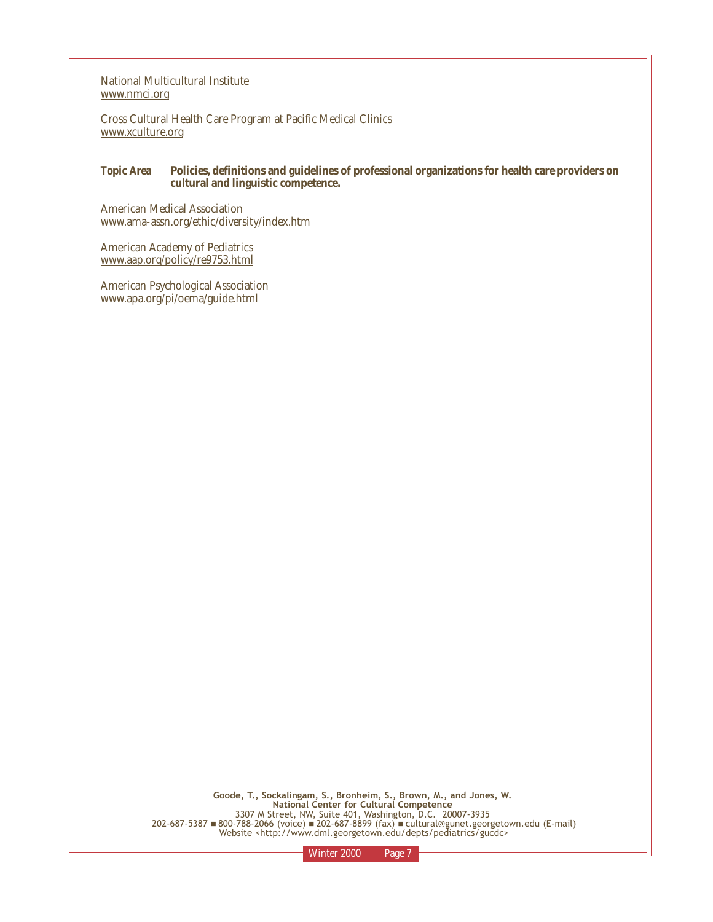National Multicultural Institute www.nmci.org

Cross Cultural Health Care Program at Pacific Medical Clinics www.xculture.org

#### *Topic Area* **Policies, definitions and guidelines of professional organizations for health care providers on cultural and linguistic competence.**

American Medical Association www.ama-assn.org/ethic/diversity/index.htm

American Academy of Pediatrics www.aap.org/policy/re9753.html

American Psychological Association www.apa.org/pi/oema/guide.html

> **Goode, T., Sockalingam, S., Bronheim, S., Brown, M., and Jones, W. National Center for Cultural Competence**  3307 M Street, NW, Suite 401, Washington, D.C. 20007-3935 202-687-5387 ■ 800-788-2066 (voice) ■ 202-687-8899 (fax) ■ cultural@gunet.georgetown.edu (E-mail) Website <http://www.dml.georgetown.edu/depts/pediatrics/gucdc>